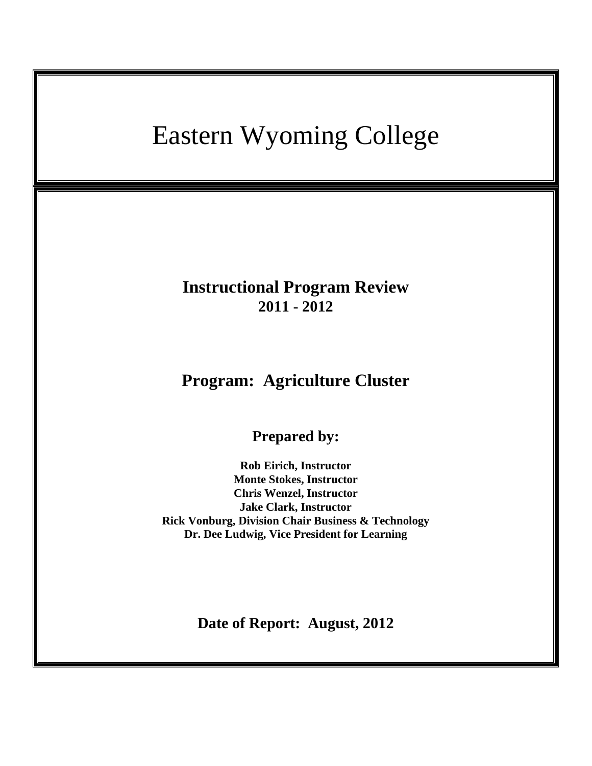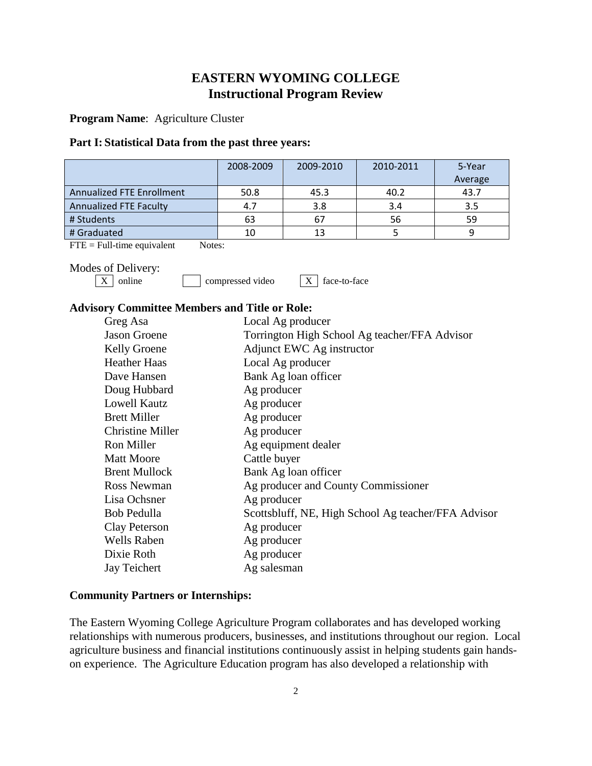# **EASTERN WYOMING COLLEGE Instructional Program Review**

**Program Name**: Agriculture Cluster

## **Part I: Statistical Data from the past three years:**

|                                  | 2008-2009 | 2009-2010 | 2010-2011 | 5-Year<br>Average |
|----------------------------------|-----------|-----------|-----------|-------------------|
| <b>Annualized FTE Enrollment</b> | 50.8      | 45.3      | 40.2      | 43.7              |
| <b>Annualized FTE Faculty</b>    | 4.7       | 3.8       | 3.4       | 3.5               |
| # Students                       | 63        | 67        | 56        | 59                |
| # Graduated                      | 10        | 13        |           |                   |

 $\text{FTE} = \text{Full-time equivalent}$  Notes:

Modes of Delivery:<br> $\boxed{\text{X}}$  online

 $compressed video$   $X | X$  face-to-face

# **Advisory Committee Members and Title or Role:**

| Greg Asa                | Local Ag producer                                   |
|-------------------------|-----------------------------------------------------|
| <b>Jason Groene</b>     | Torrington High School Ag teacher/FFA Advisor       |
| Kelly Groene            | Adjunct EWC Ag instructor                           |
| <b>Heather Haas</b>     | Local Ag producer                                   |
| Dave Hansen             | Bank Ag loan officer                                |
| Doug Hubbard            | Ag producer                                         |
| <b>Lowell Kautz</b>     | Ag producer                                         |
| <b>Brett Miller</b>     | Ag producer                                         |
| <b>Christine Miller</b> | Ag producer                                         |
| Ron Miller              | Ag equipment dealer                                 |
| <b>Matt Moore</b>       | Cattle buyer                                        |
| <b>Brent Mullock</b>    | Bank Ag loan officer                                |
| <b>Ross Newman</b>      | Ag producer and County Commissioner                 |
| Lisa Ochsner            | Ag producer                                         |
| Bob Pedulla             | Scottsbluff, NE, High School Ag teacher/FFA Advisor |
| Clay Peterson           | Ag producer                                         |
| <b>Wells Raben</b>      | Ag producer                                         |
| Dixie Roth              | Ag producer                                         |
| Jay Teichert            | Ag salesman                                         |

## **Community Partners or Internships:**

The Eastern Wyoming College Agriculture Program collaborates and has developed working relationships with numerous producers, businesses, and institutions throughout our region. Local agriculture business and financial institutions continuously assist in helping students gain handson experience. The Agriculture Education program has also developed a relationship with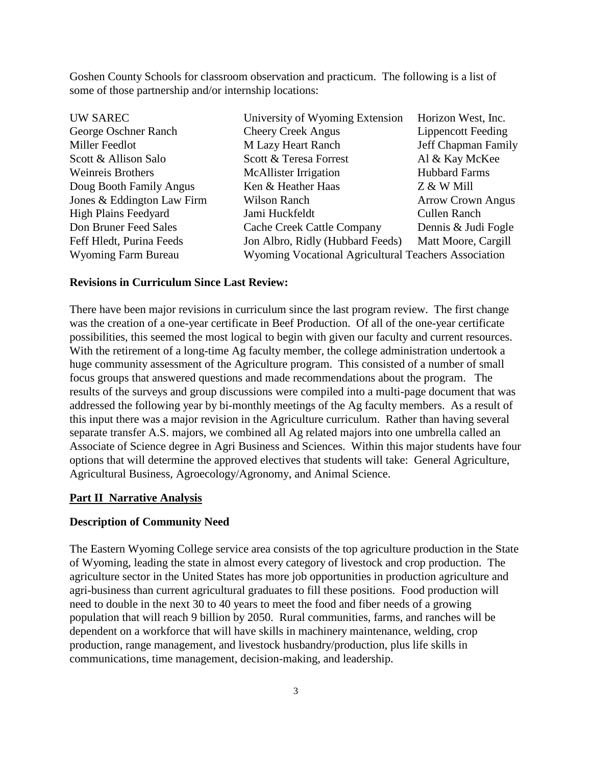Goshen County Schools for classroom observation and practicum. The following is a list of some of those partnership and/or internship locations:

| University of Wyoming Extension                                             | Horizon West, Inc.        |  |
|-----------------------------------------------------------------------------|---------------------------|--|
| <b>Cheery Creek Angus</b>                                                   | <b>Lippencott Feeding</b> |  |
| <b>M Lazy Heart Ranch</b>                                                   | Jeff Chapman Family       |  |
| Scott & Teresa Forrest                                                      | Al & Kay McKee            |  |
| <b>McAllister Irrigation</b>                                                | <b>Hubbard Farms</b>      |  |
| Ken & Heather Haas                                                          | Z & W Mill                |  |
| Wilson Ranch                                                                | <b>Arrow Crown Angus</b>  |  |
| Jami Huckfeldt                                                              | <b>Cullen Ranch</b>       |  |
| Cache Creek Cattle Company                                                  | Dennis & Judi Fogle       |  |
| Jon Albro, Ridly (Hubbard Feeds)                                            | Matt Moore, Cargill       |  |
| Wyoming Vocational Agricultural Teachers Association<br>Wyoming Farm Bureau |                           |  |
|                                                                             |                           |  |

# **Revisions in Curriculum Since Last Review:**

There have been major revisions in curriculum since the last program review. The first change was the creation of a one-year certificate in Beef Production. Of all of the one-year certificate possibilities, this seemed the most logical to begin with given our faculty and current resources. With the retirement of a long-time Ag faculty member, the college administration undertook a huge community assessment of the Agriculture program. This consisted of a number of small focus groups that answered questions and made recommendations about the program. The results of the surveys and group discussions were compiled into a multi-page document that was addressed the following year by bi-monthly meetings of the Ag faculty members. As a result of this input there was a major revision in the Agriculture curriculum. Rather than having several separate transfer A.S. majors, we combined all Ag related majors into one umbrella called an Associate of Science degree in Agri Business and Sciences. Within this major students have four options that will determine the approved electives that students will take: General Agriculture, Agricultural Business, Agroecology/Agronomy, and Animal Science.

## **Part II Narrative Analysis**

#### **Description of Community Need**

The Eastern Wyoming College service area consists of the top agriculture production in the State of Wyoming, leading the state in almost every category of livestock and crop production. The agriculture sector in the United States has more job opportunities in production agriculture and agri-business than current agricultural graduates to fill these positions. Food production will need to double in the next 30 to 40 years to meet the food and fiber needs of a growing population that will reach 9 billion by 2050. Rural communities, farms, and ranches will be dependent on a workforce that will have skills in machinery maintenance, welding, crop production, range management, and livestock husbandry/production, plus life skills in communications, time management, decision-making, and leadership.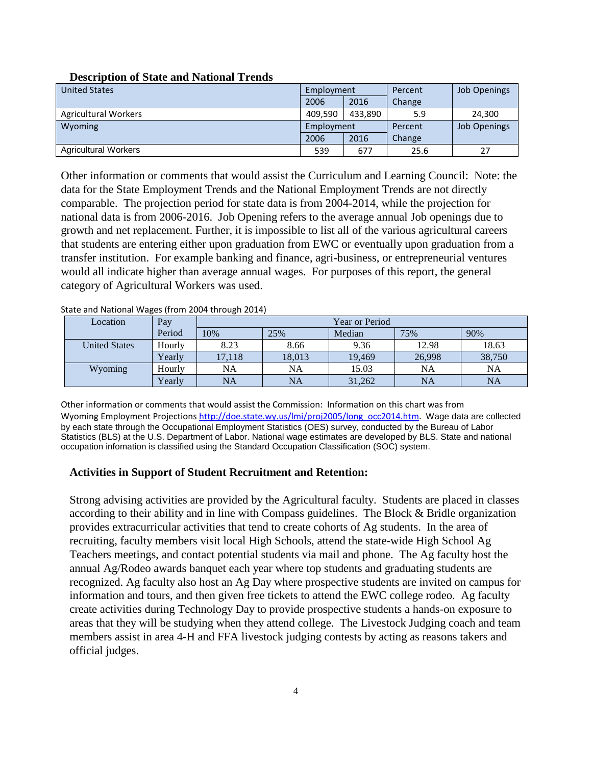| <b>United States</b>        | Employment |         | Percent | <b>Job Openings</b> |
|-----------------------------|------------|---------|---------|---------------------|
|                             | 2006       | 2016    | Change  |                     |
| <b>Agricultural Workers</b> | 409.590    | 433.890 | 5.9     | 24,300              |
| Wyoming                     | Employment |         | Percent | <b>Job Openings</b> |
|                             | 2006       | 2016    | Change  |                     |
| <b>Agricultural Workers</b> | 539        | 677     | 25.6    | 27                  |

# **Description of State and National Trends**

Other information or comments that would assist the Curriculum and Learning Council: Note: the data for the State Employment Trends and the National Employment Trends are not directly comparable. The projection period for state data is from 2004-2014, while the projection for national data is from 2006-2016. Job Opening refers to the average annual Job openings due to growth and net replacement. Further, it is impossible to list all of the various agricultural careers that students are entering either upon graduation from EWC or eventually upon graduation from a transfer institution. For example banking and finance, agri-business, or entrepreneurial ventures would all indicate higher than average annual wages. For purposes of this report, the general category of Agricultural Workers was used.

| Location             | Pay    | <b>Year or Period</b> |        |        |        |        |
|----------------------|--------|-----------------------|--------|--------|--------|--------|
|                      | Period | 10%                   | 25%    | Median | 75%    | 90%    |
| <b>United States</b> | Hourly | 8.23                  | 8.66   | 9.36   | 12.98  | 18.63  |
|                      | Yearly | 17.118                | 18,013 | 19.469 | 26,998 | 38,750 |
| Wyoming              | Hourly | NA                    | NA     | 15.03  | NA     | NA     |
|                      | Yearly | <b>NA</b>             | NA     | 31,262 | NA     | NA     |

State and National Wages (from 2004 through 2014)

Other information or comments that would assist the Commission: Information on this chart was from Wyoming Employment Projections [http://doe.state.wy.us/lmi/proj2005/long\\_occ2014.htm.](http://doe.state.wy.us/lmi/proj2005/long_occ2014.htm) Wage data are collected by each state through the Occupational Employment Statistics (OES) survey, conducted by the Bureau of Labor Statistics (BLS) at the U.S. Department of Labor. National wage estimates are developed by BLS. State and national occupation infomation is classified using the Standard Occupation Classification (SOC) system.

# **Activities in Support of Student Recruitment and Retention:**

Strong advising activities are provided by the Agricultural faculty. Students are placed in classes according to their ability and in line with Compass guidelines. The Block & Bridle organization provides extracurricular activities that tend to create cohorts of Ag students. In the area of recruiting, faculty members visit local High Schools, attend the state-wide High School Ag Teachers meetings, and contact potential students via mail and phone. The Ag faculty host the annual Ag/Rodeo awards banquet each year where top students and graduating students are recognized. Ag faculty also host an Ag Day where prospective students are invited on campus for information and tours, and then given free tickets to attend the EWC college rodeo. Ag faculty create activities during Technology Day to provide prospective students a hands-on exposure to areas that they will be studying when they attend college. The Livestock Judging coach and team members assist in area 4-H and FFA livestock judging contests by acting as reasons takers and official judges.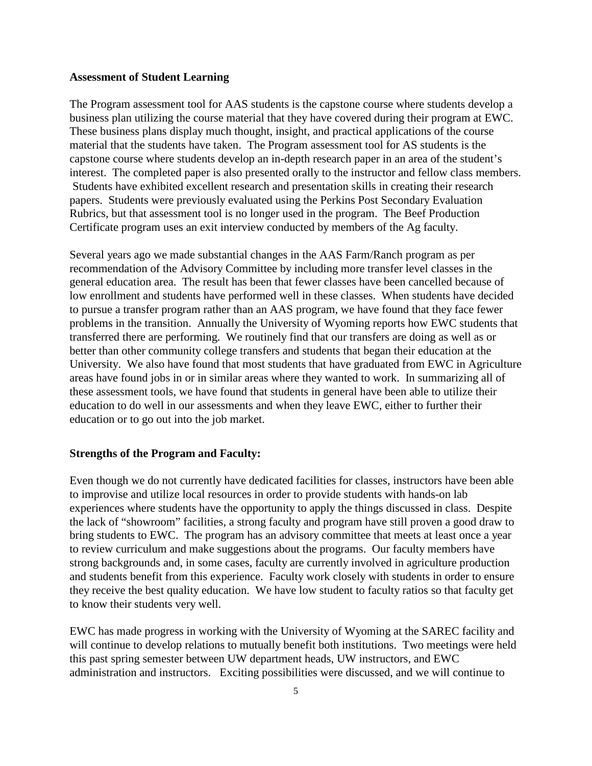#### **Assessment of Student Learning**

The Program assessment tool for AAS students is the capstone course where students develop a business plan utilizing the course material that they have covered during their program at EWC. These business plans display much thought, insight, and practical applications of the course material that the students have taken. The Program assessment tool for AS students is the capstone course where students develop an in-depth research paper in an area of the student's interest. The completed paper is also presented orally to the instructor and fellow class members. Students have exhibited excellent research and presentation skills in creating their research papers. Students were previously evaluated using the Perkins Post Secondary Evaluation Rubrics, but that assessment tool is no longer used in the program. The Beef Production Certificate program uses an exit interview conducted by members of the Ag faculty.

Several years ago we made substantial changes in the AAS Farm/Ranch program as per recommendation of the Advisory Committee by including more transfer level classes in the general education area. The result has been that fewer classes have been cancelled because of low enrollment and students have performed well in these classes. When students have decided to pursue a transfer program rather than an AAS program, we have found that they face fewer problems in the transition. Annually the University of Wyoming reports how EWC students that transferred there are performing. We routinely find that our transfers are doing as well as or better than other community college transfers and students that began their education at the University. We also have found that most students that have graduated from EWC in Agriculture areas have found jobs in or in similar areas where they wanted to work. In summarizing all of these assessment tools, we have found that students in general have been able to utilize their education to do well in our assessments and when they leave EWC, either to further their education or to go out into the job market.

## **Strengths of the Program and Faculty:**

Even though we do not currently have dedicated facilities for classes, instructors have been able to improvise and utilize local resources in order to provide students with hands-on lab experiences where students have the opportunity to apply the things discussed in class. Despite the lack of "showroom" facilities, a strong faculty and program have still proven a good draw to bring students to EWC. The program has an advisory committee that meets at least once a year to review curriculum and make suggestions about the programs. Our faculty members have strong backgrounds and, in some cases, faculty are currently involved in agriculture production and students benefit from this experience. Faculty work closely with students in order to ensure they receive the best quality education. We have low student to faculty ratios so that faculty get to know their students very well.

EWC has made progress in working with the University of Wyoming at the SAREC facility and will continue to develop relations to mutually benefit both institutions. Two meetings were held this past spring semester between UW department heads, UW instructors, and EWC administration and instructors. Exciting possibilities were discussed, and we will continue to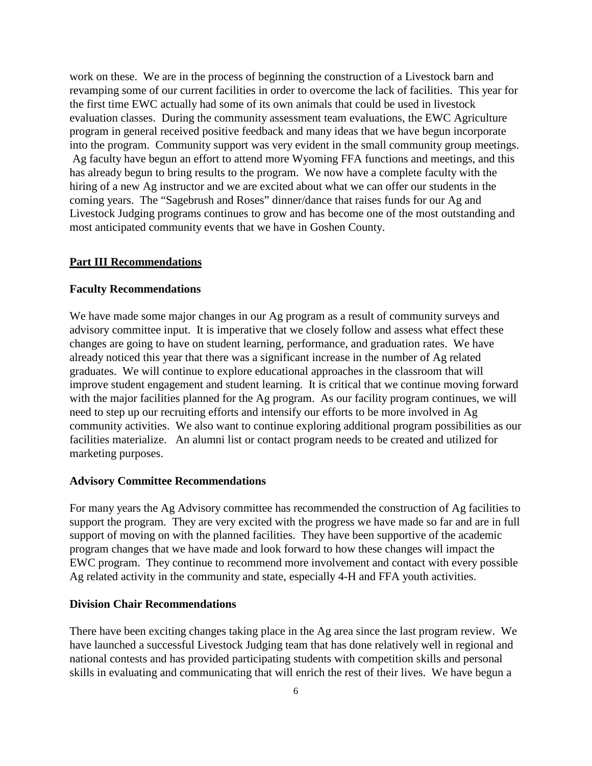work on these. We are in the process of beginning the construction of a Livestock barn and revamping some of our current facilities in order to overcome the lack of facilities. This year for the first time EWC actually had some of its own animals that could be used in livestock evaluation classes. During the community assessment team evaluations, the EWC Agriculture program in general received positive feedback and many ideas that we have begun incorporate into the program. Community support was very evident in the small community group meetings. Ag faculty have begun an effort to attend more Wyoming FFA functions and meetings, and this has already begun to bring results to the program. We now have a complete faculty with the hiring of a new Ag instructor and we are excited about what we can offer our students in the coming years. The "Sagebrush and Roses" dinner/dance that raises funds for our Ag and Livestock Judging programs continues to grow and has become one of the most outstanding and most anticipated community events that we have in Goshen County.

## **Part III Recommendations**

#### **Faculty Recommendations**

We have made some major changes in our Ag program as a result of community surveys and advisory committee input. It is imperative that we closely follow and assess what effect these changes are going to have on student learning, performance, and graduation rates. We have already noticed this year that there was a significant increase in the number of Ag related graduates. We will continue to explore educational approaches in the classroom that will improve student engagement and student learning. It is critical that we continue moving forward with the major facilities planned for the Ag program. As our facility program continues, we will need to step up our recruiting efforts and intensify our efforts to be more involved in Ag community activities. We also want to continue exploring additional program possibilities as our facilities materialize. An alumni list or contact program needs to be created and utilized for marketing purposes.

#### **Advisory Committee Recommendations**

For many years the Ag Advisory committee has recommended the construction of Ag facilities to support the program. They are very excited with the progress we have made so far and are in full support of moving on with the planned facilities. They have been supportive of the academic program changes that we have made and look forward to how these changes will impact the EWC program. They continue to recommend more involvement and contact with every possible Ag related activity in the community and state, especially 4-H and FFA youth activities.

# **Division Chair Recommendations**

There have been exciting changes taking place in the Ag area since the last program review. We have launched a successful Livestock Judging team that has done relatively well in regional and national contests and has provided participating students with competition skills and personal skills in evaluating and communicating that will enrich the rest of their lives. We have begun a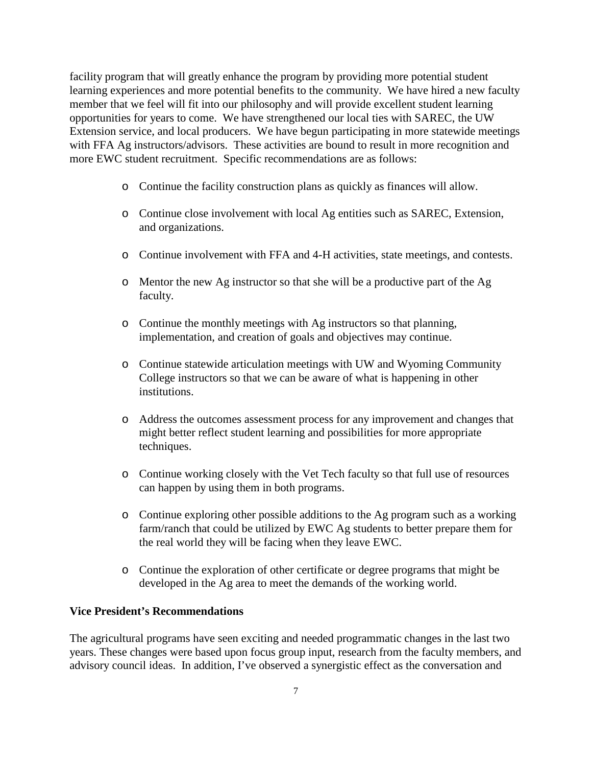facility program that will greatly enhance the program by providing more potential student learning experiences and more potential benefits to the community. We have hired a new faculty member that we feel will fit into our philosophy and will provide excellent student learning opportunities for years to come. We have strengthened our local ties with SAREC, the UW Extension service, and local producers. We have begun participating in more statewide meetings with FFA Ag instructors/advisors. These activities are bound to result in more recognition and more EWC student recruitment. Specific recommendations are as follows:

- o Continue the facility construction plans as quickly as finances will allow.
- o Continue close involvement with local Ag entities such as SAREC, Extension, and organizations.
- o Continue involvement with FFA and 4-H activities, state meetings, and contests.
- o Mentor the new Ag instructor so that she will be a productive part of the Ag faculty.
- o Continue the monthly meetings with Ag instructors so that planning, implementation, and creation of goals and objectives may continue.
- o Continue statewide articulation meetings with UW and Wyoming Community College instructors so that we can be aware of what is happening in other institutions.
- o Address the outcomes assessment process for any improvement and changes that might better reflect student learning and possibilities for more appropriate techniques.
- o Continue working closely with the Vet Tech faculty so that full use of resources can happen by using them in both programs.
- o Continue exploring other possible additions to the Ag program such as a working farm/ranch that could be utilized by EWC Ag students to better prepare them for the real world they will be facing when they leave EWC.
- o Continue the exploration of other certificate or degree programs that might be developed in the Ag area to meet the demands of the working world.

# **Vice President's Recommendations**

The agricultural programs have seen exciting and needed programmatic changes in the last two years. These changes were based upon focus group input, research from the faculty members, and advisory council ideas. In addition, I've observed a synergistic effect as the conversation and